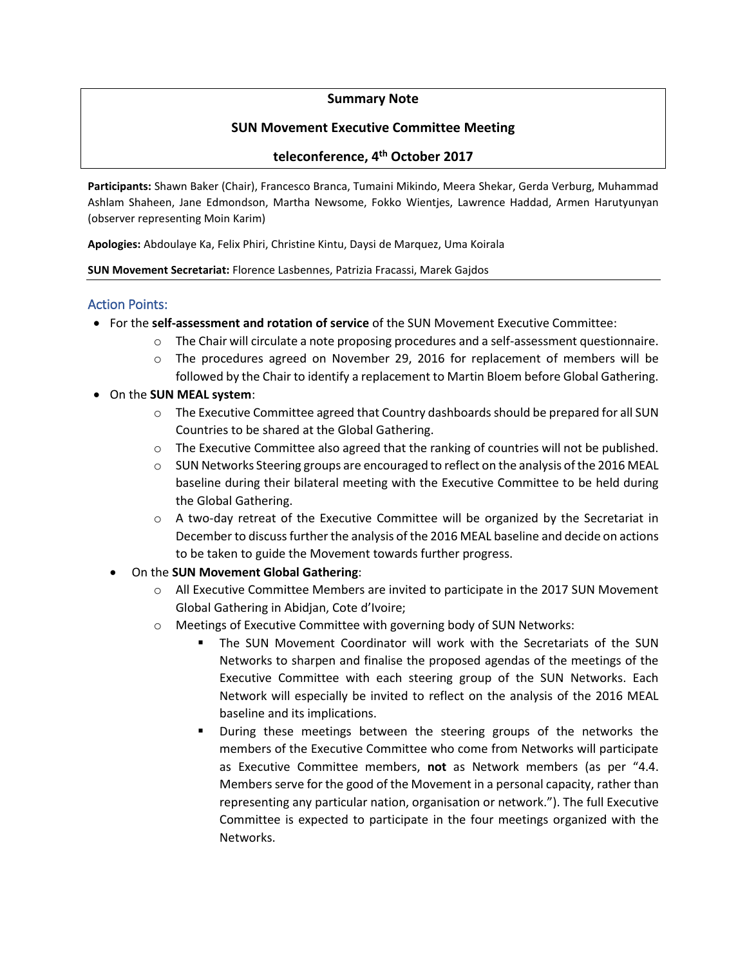## **Summary Note**

## **SUN Movement Executive Committee Meeting**

# **teleconference, 4 th October 2017**

**Participants:** Shawn Baker (Chair), Francesco Branca, Tumaini Mikindo, Meera Shekar, Gerda Verburg, Muhammad Ashlam Shaheen, Jane Edmondson, Martha Newsome, Fokko Wientjes, Lawrence Haddad, Armen Harutyunyan (observer representing Moin Karim)

**Apologies:** Abdoulaye Ka, Felix Phiri, Christine Kintu, Daysi de Marquez, Uma Koirala

#### **SUN Movement Secretariat:** Florence Lasbennes, Patrizia Fracassi, Marek Gajdos

### Action Points:

- For the **self-assessment and rotation of service** of the SUN Movement Executive Committee:
	- o The Chair will circulate a note proposing procedures and a self-assessment questionnaire.
	- o The procedures agreed on November 29, 2016 for replacement of members will be followed by the Chair to identify a replacement to Martin Bloem before Global Gathering.
- On the **SUN MEAL system**:
	- o The Executive Committee agreed that Country dashboards should be prepared for all SUN Countries to be shared at the Global Gathering.
	- $\circ$  The Executive Committee also agreed that the ranking of countries will not be published.
	- $\circ$  SUN Networks Steering groups are encouraged to reflect on the analysis of the 2016 MEAL baseline during their bilateral meeting with the Executive Committee to be held during the Global Gathering.
	- $\circ$  A two-day retreat of the Executive Committee will be organized by the Secretariat in December to discuss further the analysis of the 2016 MEAL baseline and decide on actions to be taken to guide the Movement towards further progress.
	- On the **SUN Movement Global Gathering**:
		- o All Executive Committee Members are invited to participate in the 2017 SUN Movement Global Gathering in Abidjan, Cote d'Ivoire;
		- o Meetings of Executive Committee with governing body of SUN Networks:
			- The SUN Movement Coordinator will work with the Secretariats of the SUN Networks to sharpen and finalise the proposed agendas of the meetings of the Executive Committee with each steering group of the SUN Networks. Each Network will especially be invited to reflect on the analysis of the 2016 MEAL baseline and its implications.
			- During these meetings between the steering groups of the networks the members of the Executive Committee who come from Networks will participate as Executive Committee members, **not** as Network members (as per "4.4. Members serve for the good of the Movement in a personal capacity, rather than representing any particular nation, organisation or network."). The full Executive Committee is expected to participate in the four meetings organized with the Networks.